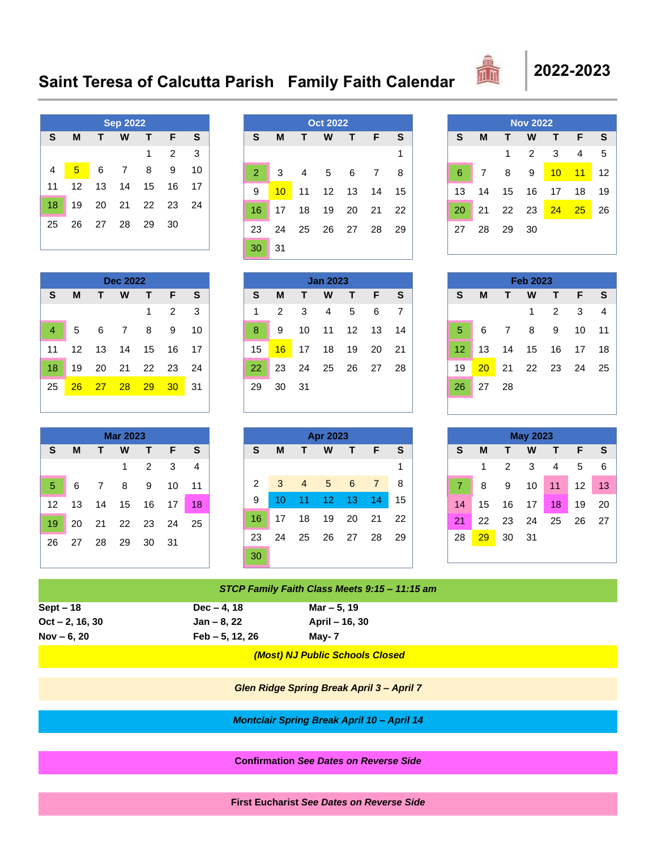## **Saint Teresa of Calcutta Parish Family Faith Calendar 2022-2023**



| <b>Sep 2022</b> |    |    |    |    |                |    |
|-----------------|----|----|----|----|----------------|----|
| S               | M  | Т  | w  | т  | F              | S  |
|                 |    |    |    | 1  | $\overline{2}$ | 3  |
| 4               | 5  | 6  | 7  | 8  | 9              | 10 |
| 11              | 12 | 13 | 14 | 15 | 16             | 17 |
| 18              | 19 | 20 | 21 | 22 | 23             | 24 |
| 25              | 26 | 27 | 28 | 29 | 30             |    |
|                 |    |    |    |    |                |    |

|                |    |    | <b>Oct 2022</b> |    |    |    |
|----------------|----|----|-----------------|----|----|----|
| S              | M  | Т  | W               | т  | F  | S  |
|                |    |    |                 |    |    | 1  |
| $\overline{2}$ | 3  | 4  | 5               | 6  | 7  | 8  |
| 9              | 10 | 11 | 12              | 13 | 14 | 15 |
| 16             | 17 | 18 | 19              | 20 | 21 | 22 |
| 23             | 24 | 25 | 26              | 27 | 28 | 29 |
| 30             | 31 |    |                 |    |    |    |

| <b>Nov 2022</b> |    |    |                |    |     |    |
|-----------------|----|----|----------------|----|-----|----|
| S               | M  | т  | w              | т  | F   | S  |
|                 |    | 1  | $\overline{2}$ | 3  | 4   | 5  |
| 6               | 7  | 8  | 9              | 10 | 11  | 12 |
| 13              | 14 | 15 | 16             | 17 | 18  | 19 |
| 20              | 21 | 22 | 23             | 24 | -25 | 26 |
| 27              | 28 | 29 | 30             |    |     |    |
|                 |    |    |                |    |     |    |

| Dec 2022 |    |    |    |                |    |  |
|----------|----|----|----|----------------|----|--|
| M        | т  | w  | т  | F              | S  |  |
|          |    |    | 1  | $\overline{2}$ | 3  |  |
| 5        | 6  | 7  | 8  | 9              | 10 |  |
| 12       | 13 | 14 | 15 | 16             | 17 |  |
| 19       | 20 | 21 | 22 | 23             | 24 |  |
| 26       | 27 | 28 | 29 | 30             | 31 |  |
|          |    |    |    |                |    |  |

| <b>Jan 2023</b> |    |    |    |    |    |    |
|-----------------|----|----|----|----|----|----|
| S               | М  | т  | W  | т  | F  | S  |
| 1               | 2  | 3  | 4  | 5  | 6  |    |
| 8               | 9  | 10 | 11 | 12 | 13 | 14 |
| 15              | 16 | 17 | 18 | 19 | 20 | 21 |
| 22              | 23 | 24 | 25 | 26 | 27 | 28 |
| 29              | 30 | 31 |    |    |    |    |

| <b>Feb 2023</b> |    |    |    |                |    |    |  |
|-----------------|----|----|----|----------------|----|----|--|
| S               | M  | т  | W  | т              | F  | S  |  |
|                 |    |    | 1  | $\overline{2}$ | 3  | 4  |  |
| 5               | 6  | 7  | 8  | 9              | 10 | 11 |  |
| 12              | 13 | 14 | 15 | 16             | 17 | 18 |  |
| 19              | 20 | 21 | 22 | 23             | 24 | 25 |  |
| 26              | 27 | 28 |    |                |    |    |  |

| <b>Mar 2023</b> |    |                |    |    |    |    |
|-----------------|----|----------------|----|----|----|----|
| S               | M  | т              | W  | т  | F  | S  |
|                 |    |                | 1  | 2  | 3  | 4  |
| 5               | 6  | $\overline{7}$ | 8  | 9  | 10 | 11 |
| 12              | 13 | 14             | 15 | 16 | 17 | 18 |
| 19              | 20 | 21             | 22 | 23 | 24 | 25 |
| 26              | 27 | 28             | 29 | 30 | 31 |    |

|                | <b>Apr 2023</b> |                |    |    |    |    |
|----------------|-----------------|----------------|----|----|----|----|
| S              | M               | Т              | W  | т  | F  | S  |
|                |                 |                |    |    |    | 1  |
| $\overline{2}$ | 3               | $\overline{4}$ | 5  | 6  | 7  | 8  |
| 9              | 10              | 11             | 12 | 13 | 14 | 15 |
| 16             | 17              | 18             | 19 | 20 | 21 | 22 |
| 23             | 24              | 25             | 26 | 27 | 28 | 29 |
| 30             |                 |                |    |    |    |    |

| <b>May 2023</b> |    |    |    |    |    |    |
|-----------------|----|----|----|----|----|----|
| S               | M  | т  | w  | т  | F  | S  |
|                 | 1  | 2  | 3  | 4  | 5  | 6  |
| 7               | 8  | 9  | 10 | 11 | 12 | 13 |
| 14              | 15 | 16 | 17 | 18 | 19 | 20 |
| 21              | 22 | 23 | 24 | 25 | 26 | 27 |
| 28              | 29 | 30 | 31 |    |    |    |
|                 |    |    |    |    |    |    |

| STCP Family Faith Class Meets 9:15 - 11:15 am |                 |                                 |  |  |
|-----------------------------------------------|-----------------|---------------------------------|--|--|
| $Sept - 18$                                   | $Dec - 4, 18$   | Mar – 5, 19                     |  |  |
| $Oct - 2, 16, 30$                             | Jan – 8, 22     | April – 16, 30                  |  |  |
| $Nov - 6, 20$                                 | Feb – 5, 12, 26 | Mav- 7                          |  |  |
|                                               |                 | (Most) NJ Public Schools Closed |  |  |

*Glen Ridge Spring Break April 3 – April 7*

*Montclair Spring Break April 10 – April 14*

**Confirmation** *See Dates on Reverse Side*

**First Eucharist** *See Dates on Reverse Side*